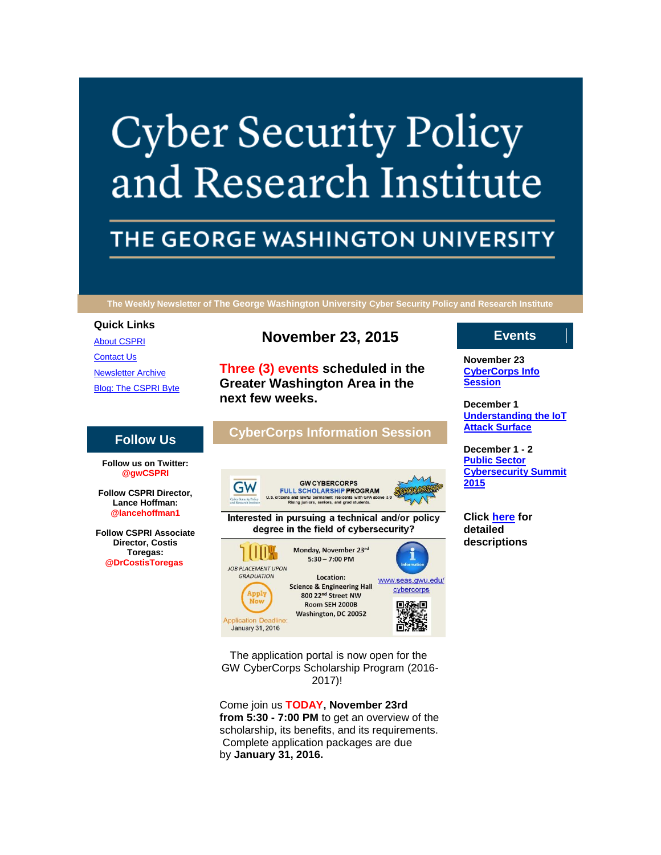# **Cyber Security Policy** and Research Institute

# THE GEORGE WASHINGTON UNIVERSITY

**The Weekly Newsletter of The George Washington University Cyber Security Policy and Research Institute**

## **Quick Links**

[About CSPRI](http://r20.rs6.net/tn.jsp?f=001FeNZCdC9AnSvz0o5ddCuSwqaEvVXjlyaqE1jmxqf6msYDHs997vdN3TclDuYtCdFxAxIbslArOVnkzhjMtlEXm9M7X3gz83LHoPlo_-jrmSWHrTaxtnESUn9_mi_sa_Ul_9Eng85xcRR6lNyzYztsYEdPmldNfCY8M8rnVLibR045jcBzIaDaNgVi-N4FFrc&c=XU9lpi8a6wX05FunWMSMsf9sakcDRTaR0Cr_DfuPTpLuNo0DqgvTXA==&ch=yNYtrlutP7ZlElnD3HhUjK13llfk05xOR1YDSN-n9_g2uJWNcU5rNg==) [Contact Us](http://r20.rs6.net/tn.jsp?f=001FeNZCdC9AnSvz0o5ddCuSwqaEvVXjlyaqE1jmxqf6msYDHs997vdN3TclDuYtCdFCaHABClI9XRrF9iNkl3d53qlCz6MXF-Stn4vcBadueHKizrShjPNhbznR2Lgn8xeuyhfIvsK_Zh3W8lZ5-KgTeb-wVri7DwjagfKdQx_eNWK1alPjVEGFwZQym4wUTxpWZBTnWmNtXo=&c=XU9lpi8a6wX05FunWMSMsf9sakcDRTaR0Cr_DfuPTpLuNo0DqgvTXA==&ch=yNYtrlutP7ZlElnD3HhUjK13llfk05xOR1YDSN-n9_g2uJWNcU5rNg==) [Newsletter Archive](http://r20.rs6.net/tn.jsp?f=001FeNZCdC9AnSvz0o5ddCuSwqaEvVXjlyaqE1jmxqf6msYDHs997vdN3TclDuYtCdF21DkTXmMQgENH2Mcog53SvcjtV28hpIF7ARqpoMK4Mqpkl15__rpuEvgT96nO6bOFAydKyTBNtv2H1UrhDi8_i6IYt1NqksjIqaksPD9RdrwIWQqi6DX3ChLFrTImwNHnRWh01VHbOc=&c=XU9lpi8a6wX05FunWMSMsf9sakcDRTaR0Cr_DfuPTpLuNo0DqgvTXA==&ch=yNYtrlutP7ZlElnD3HhUjK13llfk05xOR1YDSN-n9_g2uJWNcU5rNg==) [Blog: The CSPRI Byte](http://r20.rs6.net/tn.jsp?f=001FeNZCdC9AnSvz0o5ddCuSwqaEvVXjlyaqE1jmxqf6msYDHs997vdN3TclDuYtCdFWaNcy_etaQ5EfFkWO1qb2VJDjvMnszFSQ1bjB4dRSVggHpKDQI46aAo3rDFDetg2I5hjOOB3LyczWjkQ9b_ZJWqHhA_QDPj3dvWyueeMFYH8T-0KFc7WOdvH43zhV7fp&c=XU9lpi8a6wX05FunWMSMsf9sakcDRTaR0Cr_DfuPTpLuNo0DqgvTXA==&ch=yNYtrlutP7ZlElnD3HhUjK13llfk05xOR1YDSN-n9_g2uJWNcU5rNg==)

# **November 23, 2015**

**Three (3) events scheduled in the Greater Washington Area in the next few weeks.**

# **CyberCorps Information Session**



Interested in pursuing a technical and/or policy degree in the field of cybersecurity?



**Events**

**November 23 [CyberCorps Info](http://r20.rs6.net/tn.jsp?f=001FeNZCdC9AnSvz0o5ddCuSwqaEvVXjlyaqE1jmxqf6msYDHs997vdN55tuRaJPVJX20jDfJ0kRA_fbsmjeo2xsEoFnNi2MQlfhMAEYDQIHuAuPxnQAYzdOBQ9_EJhOSZLDe52lr2uZ4p_-dcVYYg6Oeduuqv60FYcTLI0A3buSiSLRpZyNJkYS-0_1v0tMCcJohBsLQaOqMs=&c=XU9lpi8a6wX05FunWMSMsf9sakcDRTaR0Cr_DfuPTpLuNo0DqgvTXA==&ch=yNYtrlutP7ZlElnD3HhUjK13llfk05xOR1YDSN-n9_g2uJWNcU5rNg==)  [Session](http://r20.rs6.net/tn.jsp?f=001FeNZCdC9AnSvz0o5ddCuSwqaEvVXjlyaqE1jmxqf6msYDHs997vdN55tuRaJPVJX20jDfJ0kRA_fbsmjeo2xsEoFnNi2MQlfhMAEYDQIHuAuPxnQAYzdOBQ9_EJhOSZLDe52lr2uZ4p_-dcVYYg6Oeduuqv60FYcTLI0A3buSiSLRpZyNJkYS-0_1v0tMCcJohBsLQaOqMs=&c=XU9lpi8a6wX05FunWMSMsf9sakcDRTaR0Cr_DfuPTpLuNo0DqgvTXA==&ch=yNYtrlutP7ZlElnD3HhUjK13llfk05xOR1YDSN-n9_g2uJWNcU5rNg==)**

**December 1 [Understanding the IoT](http://r20.rs6.net/tn.jsp?f=001FeNZCdC9AnSvz0o5ddCuSwqaEvVXjlyaqE1jmxqf6msYDHs997vdN55tuRaJPVJX20jDfJ0kRA_fbsmjeo2xsEoFnNi2MQlfhMAEYDQIHuAuPxnQAYzdOBQ9_EJhOSZLDe52lr2uZ4p_-dcVYYg6Oeduuqv60FYcTLI0A3buSiSLRpZyNJkYS-0_1v0tMCcJohBsLQaOqMs=&c=XU9lpi8a6wX05FunWMSMsf9sakcDRTaR0Cr_DfuPTpLuNo0DqgvTXA==&ch=yNYtrlutP7ZlElnD3HhUjK13llfk05xOR1YDSN-n9_g2uJWNcU5rNg==)  [Attack Surface](http://r20.rs6.net/tn.jsp?f=001FeNZCdC9AnSvz0o5ddCuSwqaEvVXjlyaqE1jmxqf6msYDHs997vdN55tuRaJPVJX20jDfJ0kRA_fbsmjeo2xsEoFnNi2MQlfhMAEYDQIHuAuPxnQAYzdOBQ9_EJhOSZLDe52lr2uZ4p_-dcVYYg6Oeduuqv60FYcTLI0A3buSiSLRpZyNJkYS-0_1v0tMCcJohBsLQaOqMs=&c=XU9lpi8a6wX05FunWMSMsf9sakcDRTaR0Cr_DfuPTpLuNo0DqgvTXA==&ch=yNYtrlutP7ZlElnD3HhUjK13llfk05xOR1YDSN-n9_g2uJWNcU5rNg==)**

**December 1 - 2 [Public Sector](http://r20.rs6.net/tn.jsp?f=001FeNZCdC9AnSvz0o5ddCuSwqaEvVXjlyaqE1jmxqf6msYDHs997vdN55tuRaJPVJX20jDfJ0kRA_fbsmjeo2xsEoFnNi2MQlfhMAEYDQIHuAuPxnQAYzdOBQ9_EJhOSZLDe52lr2uZ4p_-dcVYYg6Oeduuqv60FYcTLI0A3buSiSLRpZyNJkYS-0_1v0tMCcJohBsLQaOqMs=&c=XU9lpi8a6wX05FunWMSMsf9sakcDRTaR0Cr_DfuPTpLuNo0DqgvTXA==&ch=yNYtrlutP7ZlElnD3HhUjK13llfk05xOR1YDSN-n9_g2uJWNcU5rNg==)  [Cybersecurity Summit](http://r20.rs6.net/tn.jsp?f=001FeNZCdC9AnSvz0o5ddCuSwqaEvVXjlyaqE1jmxqf6msYDHs997vdN55tuRaJPVJX20jDfJ0kRA_fbsmjeo2xsEoFnNi2MQlfhMAEYDQIHuAuPxnQAYzdOBQ9_EJhOSZLDe52lr2uZ4p_-dcVYYg6Oeduuqv60FYcTLI0A3buSiSLRpZyNJkYS-0_1v0tMCcJohBsLQaOqMs=&c=XU9lpi8a6wX05FunWMSMsf9sakcDRTaR0Cr_DfuPTpLuNo0DqgvTXA==&ch=yNYtrlutP7ZlElnD3HhUjK13llfk05xOR1YDSN-n9_g2uJWNcU5rNg==)  [2015](http://r20.rs6.net/tn.jsp?f=001FeNZCdC9AnSvz0o5ddCuSwqaEvVXjlyaqE1jmxqf6msYDHs997vdN55tuRaJPVJX20jDfJ0kRA_fbsmjeo2xsEoFnNi2MQlfhMAEYDQIHuAuPxnQAYzdOBQ9_EJhOSZLDe52lr2uZ4p_-dcVYYg6Oeduuqv60FYcTLI0A3buSiSLRpZyNJkYS-0_1v0tMCcJohBsLQaOqMs=&c=XU9lpi8a6wX05FunWMSMsf9sakcDRTaR0Cr_DfuPTpLuNo0DqgvTXA==&ch=yNYtrlutP7ZlElnD3HhUjK13llfk05xOR1YDSN-n9_g2uJWNcU5rNg==)**

**Click [here](http://r20.rs6.net/tn.jsp?f=001FeNZCdC9AnSvz0o5ddCuSwqaEvVXjlyaqE1jmxqf6msYDHs997vdN3TclDuYtCdFWfPSamwdvROSqhNyoHuNU8Z7XoTqb2dIwJ-AZb-W-vBIDJvqbbEbEs_AJB-dcFIEgkOxdN71uUHwNcI14acbeRsQq7UfQxcOWMrw6ZyvlIfXvroJfIGqPWUffDqiOKEolvl79TL0NVR4Sk-PSb-C1w==&c=XU9lpi8a6wX05FunWMSMsf9sakcDRTaR0Cr_DfuPTpLuNo0DqgvTXA==&ch=yNYtrlutP7ZlElnD3HhUjK13llfk05xOR1YDSN-n9_g2uJWNcU5rNg==) for detailed descriptions**

**Follow us on Twitter: @gwCSPRI Follow CSPRI Director,** 

**Follow Us**

**Lance Hoffman: @lancehoffman1**

**Follow CSPRI Associate Director, Costis Toregas: @DrCostisToregas**

> The application portal is now open for the GW CyberCorps Scholarship Program (2016- 2017)!

> Come join us **TODAY, November 23rd from 5:30 - 7:00 PM** to get an overview of the scholarship, its benefits, and its requirements. Complete application packages are due by **January 31, 2016.**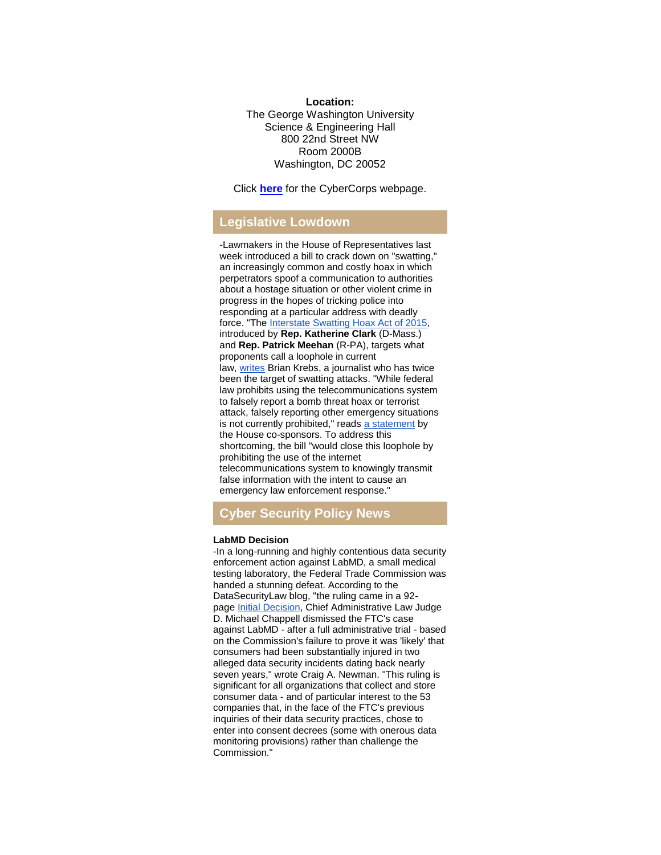# **Location:** The George Washington University Science & Engineering Hall 800 22nd Street NW Room 2000B Washington, DC 20052

Click **[here](http://r20.rs6.net/tn.jsp?f=001FeNZCdC9AnSvz0o5ddCuSwqaEvVXjlyaqE1jmxqf6msYDHs997vdN6sg_8x2d9bhCBCf7UGDQrsKpozHK-7UdtGv0pmR81MCBDdeSoQ-xz2GiUynlHaAV2tdOPdClxPCLo40Lc2uu8TnExY_T6ytwPnygItO05Dn-h2oeLtaG_LsD5uqvdSRAA_gusNfZxXI&c=XU9lpi8a6wX05FunWMSMsf9sakcDRTaR0Cr_DfuPTpLuNo0DqgvTXA==&ch=yNYtrlutP7ZlElnD3HhUjK13llfk05xOR1YDSN-n9_g2uJWNcU5rNg==)** for the CyberCorps webpage.

# **Legislative Lowdown**

-Lawmakers in the House of Representatives last week introduced a bill to crack down on "swatting," an increasingly common and costly hoax in which perpetrators spoof a communication to authorities about a hostage situation or other violent crime in progress in the hopes of tricking police into responding at a particular address with deadly force. "The [Interstate Swatting Hoax Act of 2015,](http://r20.rs6.net/tn.jsp?f=001FeNZCdC9AnSvz0o5ddCuSwqaEvVXjlyaqE1jmxqf6msYDHs997vdN_Z-kbf6zXhydvTcAFdhklP3U56_UScEXXuIiI-nHaLRylD-fLncQr_htg69fLvLmSIAoLjcqeGKYqhTYHwWo8Koj92iFJOZLWZc5VAGzEsx2MUIqUFeqy9XJ8ubhoP0b-zfGF7cCSX1f9DTXiG8e3PgWqUM2vFsK_eI-Oc5R05W5B_aQmUqAlb3MTwDzQyHZI2A2NBFTQTJ&c=XU9lpi8a6wX05FunWMSMsf9sakcDRTaR0Cr_DfuPTpLuNo0DqgvTXA==&ch=yNYtrlutP7ZlElnD3HhUjK13llfk05xOR1YDSN-n9_g2uJWNcU5rNg==) introduced by **Rep. Katherine Clark** (D-Mass.) and **Rep. Patrick Meehan** (R-PA), targets what proponents call a loophole in current law, [writes](http://r20.rs6.net/tn.jsp?f=001FeNZCdC9AnSvz0o5ddCuSwqaEvVXjlyaqE1jmxqf6msYDHs997vdN_Z-kbf6zXhyYiK62OoIMqh83JC3G2qvMI0H5FGiozRzPvFqXJlWn06GmFImLWGEYCh88hEX4XIesAcdHk_OWl_tnhzrWLj4wPBYQgpWtWQ0I6Mgi3IXy-gPOqsdyPQv__DZJJeUNY-r3TShd78dp8wJCzFkQxk462EToziUx2p5Nlw4I5AkCxzFYQi8mVOB8akLbD0j2kjv&c=XU9lpi8a6wX05FunWMSMsf9sakcDRTaR0Cr_DfuPTpLuNo0DqgvTXA==&ch=yNYtrlutP7ZlElnD3HhUjK13llfk05xOR1YDSN-n9_g2uJWNcU5rNg==) Brian Krebs, a journalist who has twice been the target of swatting attacks. "While federal law prohibits using the telecommunications system to falsely report a bomb threat hoax or terrorist attack, falsely reporting other emergency situations is not currently prohibited," reads [a statement](http://r20.rs6.net/tn.jsp?f=001FeNZCdC9AnSvz0o5ddCuSwqaEvVXjlyaqE1jmxqf6msYDHs997vdN_Z-kbf6zXhyno562fOs0Qrct87jqs0X49IvgrsgQ487VNCtl8x5M0U9A-aRRGY0i1_NIkMldzOmUYRvj1j1cABC5tty6HH3D3WZbp7ZAXkUd2nKeIg-PORtB_BhQFJQdIEL8EwzYcSpgLtzmFZuxLABUcjowXGNmSuW_mgqxHelULDBvmH4b1h-7BAPfb66X6ZK59qvz1jD59fncztII14bCrzLR29EWQ==&c=XU9lpi8a6wX05FunWMSMsf9sakcDRTaR0Cr_DfuPTpLuNo0DqgvTXA==&ch=yNYtrlutP7ZlElnD3HhUjK13llfk05xOR1YDSN-n9_g2uJWNcU5rNg==) by the House co-sponsors. To address this shortcoming, the bill "would close this loophole by prohibiting the use of the internet telecommunications system to knowingly transmit false information with the intent to cause an emergency law enforcement response."

# **Cyber Security Policy News**

## **LabMD Decision**

-In a long-running and highly contentious data security enforcement action against LabMD, a small medical testing laboratory, the Federal Trade Commission was handed a stunning defeat. According to the DataSecurityLaw blog, "the ruling came in a 92 page [Initial Decision,](http://r20.rs6.net/tn.jsp?f=001FeNZCdC9AnSvz0o5ddCuSwqaEvVXjlyaqE1jmxqf6msYDHs997vdN_Z-kbf6zXhy3j6WHY5HCiflknEYU7734y58i2ATEwovegunhgRF9FrRTmFucVYel16ojUePrtm9AIzcSB64maWpwvR8Gmh4tCAYULlcrjrKnedqfvMn4N_xL2WITTzsgPJ8XRtRLa5krCt5F1qrltc6PBN4B36v4EH8jaihLnci2wcVzMXi_PKZd6dQNpv6f2-3TL9ODVLMIxXJ7Zfm58N__H9VCHqeVbkhfD2DVQjXT5YwHk9qFb9xMymPns8NdOxnWW7Pq4W6dhEaIgwYv8Q=&c=XU9lpi8a6wX05FunWMSMsf9sakcDRTaR0Cr_DfuPTpLuNo0DqgvTXA==&ch=yNYtrlutP7ZlElnD3HhUjK13llfk05xOR1YDSN-n9_g2uJWNcU5rNg==) Chief Administrative Law Judge D. Michael Chappell dismissed the FTC's case against LabMD - after a full administrative trial - based on the Commission's failure to prove it was 'likely' that consumers had been substantially injured in two alleged data security incidents dating back nearly seven years," wrote Craig A. Newman. "This ruling is significant for all organizations that collect and store consumer data - and of particular interest to the 53 companies that, in the face of the FTC's previous inquiries of their data security practices, chose to enter into consent decrees (some with onerous data monitoring provisions) rather than challenge the Commission."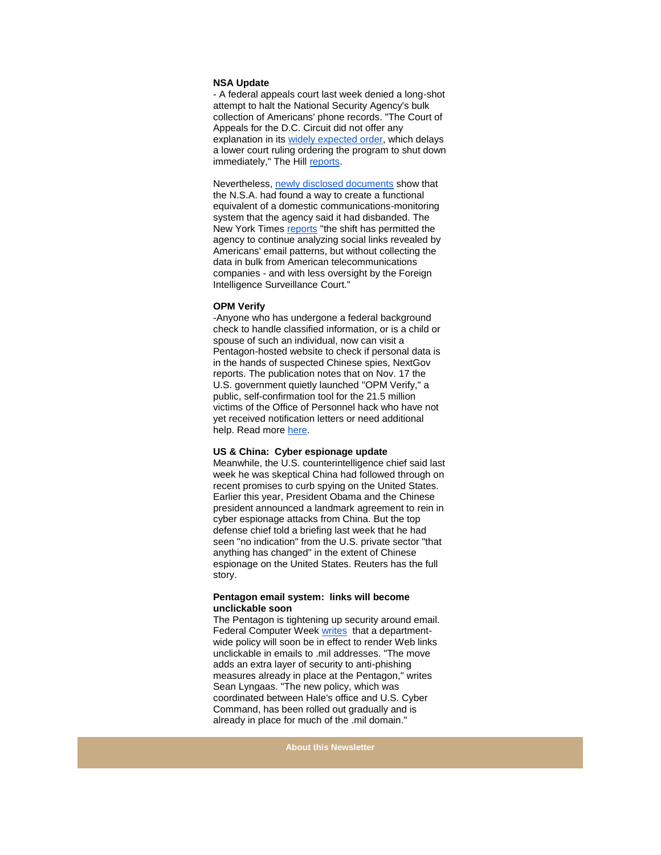#### **NSA Update**

- A federal appeals court last week denied a long-shot attempt to halt the National Security Agency's bulk collection of Americans' phone records. "The Court of Appeals for the D.C. Circuit did not offer any explanation in its [widely expected order,](http://r20.rs6.net/tn.jsp?f=001FeNZCdC9AnSvz0o5ddCuSwqaEvVXjlyaqE1jmxqf6msYDHs997vdN_Z-kbf6zXhygT2wcgjqpbbS6Sg1r8qIcjA1FBdQfWys3qxVT5QyuFqmiyleskZdOrk0kuQqvCGCDXzjECTUV4SxbX8WDXmwSGo_hsFbAjBY87-0g61UpvtKAI5LCIXaeCZsP9-ifuHG6L2IHqaLGbMjXepE-7YUaA==&c=XU9lpi8a6wX05FunWMSMsf9sakcDRTaR0Cr_DfuPTpLuNo0DqgvTXA==&ch=yNYtrlutP7ZlElnD3HhUjK13llfk05xOR1YDSN-n9_g2uJWNcU5rNg==) which delays a lower court ruling ordering the program to shut down immediately," The Hill [reports.](http://r20.rs6.net/tn.jsp?f=001FeNZCdC9AnSvz0o5ddCuSwqaEvVXjlyaqE1jmxqf6msYDHs997vdN_Z-kbf6zXhyi-XULVRMZfvdWUnSJh_-boF2XdJZaC2nXxLCfERxBqnI1QSHqzi70nHg_7DacGu9h4A99OCYkYRUmC88jJO6yXo9IPwMAACH406hOGvYGG_jIDXk7CivZfptvYOpanJA0Eei1EbUgpIr68fRxQbZELCB4n9suRRBSVW16OOSYp_g23CgDHjkRRsypD4UVXk9mp1fDhWEP4sfyZZkMDT0u9rDPnBzDPY2&c=XU9lpi8a6wX05FunWMSMsf9sakcDRTaR0Cr_DfuPTpLuNo0DqgvTXA==&ch=yNYtrlutP7ZlElnD3HhUjK13llfk05xOR1YDSN-n9_g2uJWNcU5rNg==)

Nevertheless, [newly disclosed documents](http://r20.rs6.net/tn.jsp?f=001FeNZCdC9AnSvz0o5ddCuSwqaEvVXjlyaqE1jmxqf6msYDHs997vdN_Z-kbf6zXhyCT7mHrJIvEVyId_PQ8MQTJ-i1m19jc6DuVUAQtqTjWY8kwonnONNwK4Z4BsFdpkPUTE5ClHB4P3j3W2O-v3PBgJk5sbi3eL4xzpKDkYSXEsuKLIUL8zLQY0r4Dkcr8fzw-bTLYK5-lzLnaIGKrdy_z5LdPprtIWQNue0niYr4iBtv3JFTaR1Jw==&c=XU9lpi8a6wX05FunWMSMsf9sakcDRTaR0Cr_DfuPTpLuNo0DqgvTXA==&ch=yNYtrlutP7ZlElnD3HhUjK13llfk05xOR1YDSN-n9_g2uJWNcU5rNg==) show that the N.S.A. had found a way to create a functional equivalent of a domestic communications-monitoring system that the agency said it had disbanded. The New York Times [reports](http://r20.rs6.net/tn.jsp?f=001FeNZCdC9AnSvz0o5ddCuSwqaEvVXjlyaqE1jmxqf6msYDHs997vdN_Z-kbf6zXhyz10hB4mMCNPbdR_xWfJDKaIZKQBO8hPrr1wNDuPV0b8fvEh81GCU2EqsNTPrpek1rrn_bAEfNm15Hc96yimGr6WnA4tZZa3oLMSLxQrdJ8SkJy2lygYA1tzPn8BC1bo9KZVeAz2g6BQAFxkueRpivbcY935pkjDODofqRY4AXCOGnX26y5Mli8h1k8ss2WpQjHJj8fAq-nJ2ecZxBn441OCPQ5TrKyyphjMMkAHww41kYoQazuxilpp6-uJQrB7nfJ5ONmNY-W7tw1xhb732l5Dh-OSod1AkQZIJyOl_ABUBj1X4ciVWZYh7FkU5MD0y6P34oDrm1NoXvlMfADbXKOP9IQJRvFPKhr-AfRJmEb7oow0IHmtGBkZzVY1Sbv__uh_7Q-MNZLKKNImfR0yu3VBdtfU_56AQdtNLIILp9oRM4k95znU-sGR5Dxl2T8Qb11oUueul6E4SnSCOgiFlCuOMrPwiccIiHoxXZs9C7hmMU5G1YEu786f37hHHCA1oDmdyMExAQJQ=&c=XU9lpi8a6wX05FunWMSMsf9sakcDRTaR0Cr_DfuPTpLuNo0DqgvTXA==&ch=yNYtrlutP7ZlElnD3HhUjK13llfk05xOR1YDSN-n9_g2uJWNcU5rNg==) "the shift has permitted the agency to continue analyzing social links revealed by Americans' email patterns, but without collecting the data in bulk from American telecommunications companies - and with less oversight by the Foreign Intelligence Surveillance Court."

#### **OPM Verify**

-Anyone who has undergone a federal background check to handle classified information, or is a child or spouse of such an individual, now can visit a Pentagon-hosted website to check if personal data is in the hands of suspected Chinese spies, NextGov reports. The publication notes that on Nov. 17 the U.S. government quietly launched "OPM Verify," a public, self-confirmation tool for the 21.5 million victims of the Office of Personnel hack who have not yet received notification letters or need additional help. Read more [here.](http://r20.rs6.net/tn.jsp?f=001FeNZCdC9AnSvz0o5ddCuSwqaEvVXjlyaqE1jmxqf6msYDHs997vdN_Z-kbf6zXhyvuvAIMwckXHKpU-GJiENSL9mgZNJ-gj7IXN4AgQDf9WUKzRCdwm_Uh94RWo7fpkynYLhlCPocnRo18RSQw1g9n2O5IphV7PB7n8h1ag-89FbVBbd7opqIg1xizLLTU23aHiB-IUOCi1dqJ3Jasl2FOd65HQL9N8VbgGLLZoYQWgGmf_A_TBTTiTVU80B_PpyEXo2ZDEjevaXofrUl7uPYBAXtqQkkU4zaYdRxNCaPtejQfswcZUoKZwg9jxqOapcGOZ6s3gs2mo=&c=XU9lpi8a6wX05FunWMSMsf9sakcDRTaR0Cr_DfuPTpLuNo0DqgvTXA==&ch=yNYtrlutP7ZlElnD3HhUjK13llfk05xOR1YDSN-n9_g2uJWNcU5rNg==)

#### **US & China: Cyber espionage update**

Meanwhile, the U.S. counterintelligence chief said last week he was skeptical China had followed through on recent promises to curb spying on the United States. Earlier this year, President Obama and the Chinese president announced a landmark agreement to rein in cyber espionage attacks from China. But the top defense chief told a briefing last week that he had seen "no indication" from the U.S. private sector "that anything has changed" in the extent of Chinese espionage on the United States. Reuters has the full story.

#### **Pentagon email system: links will become unclickable soon**

The Pentagon is tightening up security around email. Federal Computer Week [writes](http://r20.rs6.net/tn.jsp?f=001FeNZCdC9AnSvz0o5ddCuSwqaEvVXjlyaqE1jmxqf6msYDHs997vdN_Z-kbf6zXhyY_g-s62zTlbt6EwmgEmZcfkA18r5BbN3iIHVH2Gq0nOpxLCyPAusFHCrfOTxwFJO1W4BWww99Pr8zOKa1EsoGm_TNB1CyGjLZMn7Fd74rjeM3c1s3amNC1C9HKZqCXqLTjVDBu57bNMv7s82qXJC5yusi1mCdVo8zAQP2YquVbk=&c=XU9lpi8a6wX05FunWMSMsf9sakcDRTaR0Cr_DfuPTpLuNo0DqgvTXA==&ch=yNYtrlutP7ZlElnD3HhUjK13llfk05xOR1YDSN-n9_g2uJWNcU5rNg==) that a departmentwide policy will soon be in effect to render Web links unclickable in emails to .mil addresses. "The move adds an extra layer of security to anti-phishing measures already in place at the Pentagon," writes Sean Lyngaas. "The new policy, which was coordinated between Hale's office and U.S. Cyber Command, has been rolled out gradually and is already in place for much of the .mil domain."